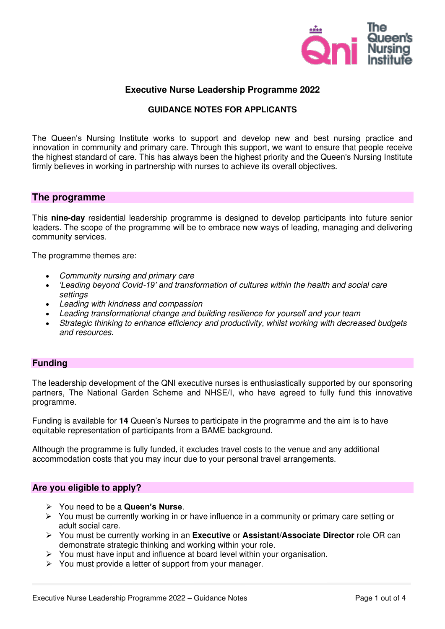

# **Executive Nurse Leadership Programme 2022**

### **GUIDANCE NOTES FOR APPLICANTS**

The Queen's Nursing Institute works to support and develop new and best nursing practice and innovation in community and primary care. Through this support, we want to ensure that people receive the highest standard of care. This has always been the highest priority and the Queen's Nursing Institute firmly believes in working in partnership with nurses to achieve its overall objectives.

# **The programme**

This **nine-day** residential leadership programme is designed to develop participants into future senior leaders. The scope of the programme will be to embrace new ways of leading, managing and delivering community services.

The programme themes are:

- Community nursing and primary care
- *'Leading beyond Covid*-*19' and transformation of* cultures within the health and social care settings
- Leading with kindness and compassion
- Leading transformational change and building resilience for yourself and your team
- Strategic thinking to enhance efficiency and productivity, whilst working with decreased budgets and resources.

### **Funding**

The leadership development of the QNI executive nurses is enthusiastically supported by our sponsoring partners, The National Garden Scheme and NHSE/I, who have agreed to fully fund this innovative programme.

Funding is available for **14** Queen's Nurses to participate in the programme and the aim is to have equitable representation of participants from a BAME background.

Although the programme is fully funded, it excludes travel costs to the venue and any additional accommodation costs that you may incur due to your personal travel arrangements.

## **Are you eligible to apply?**

- ➢ You need to be a **Queen's Nurse**.
- ➢ You must be currently working in or have influence in a community or primary care setting or adult social care.
- ➢ You must be currently working in an **Executive** or **Assistant/Associate Director** role OR can demonstrate strategic thinking and working within your role.
- $\triangleright$  You must have input and influence at board level within your organisation.
- ➢ You must provide a letter of support from your manager.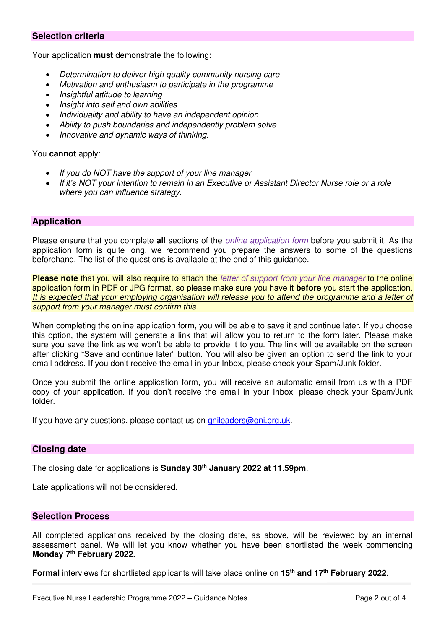## **Selection criteria**

Your application **must** demonstrate the following:

- Determination to deliver high quality community nursing care
- Motivation and enthusiasm to participate in the programme
- Insightful attitude to learning
- Insight into self and own abilities
- Individuality and ability to have an independent opinion
- Ability to push boundaries and independently problem solve
- Innovative and dynamic ways of thinking.

### You **cannot** apply:

- If you do NOT have the support of your line manager
- If *it's* NOT your intention to remain in an Executive or Assistant Director Nurse role or a role where you can influence strategy.

## **Application**

Please ensure that you complete **all** sections of the online application form before you submit it. As the application form is quite long, we recommend you prepare the answers to some of the questions beforehand. The list of the questions is available at the end of this guidance.

**Please note** that you will also require to attach the letter of support from your line manager to the online application form in PDF or JPG format, so please make sure you have it **before** you start the application. It is expected that your employing organisation will release you to attend the programme and a letter of support from your manager must confirm this.

When completing the online application form, you will be able to save it and continue later. If you choose this option, the system will generate a link that will allow you to return to the form later. Please make sure you save the link as we won't be able to provide it to you. The link will be available on the screen after clicking "Save and continue later" button. You will also be given an option to send the link to your email address. If you don't receive the email in your Inbox, please check your Spam/Junk folder.

Once you submit the online application form, you will receive an automatic email from us with a PDF copy of your application. If you don't receive the email in your Inbox, please check your Spam/Junk folder.

If you have any questions, please contact us on [qnileaders@qni.org.uk.](mailto:qnileaders@qni.org.uk)

## **Closing date**

The closing date for applications is **Sunday 30th January 2022 at 11.59pm**.

Late applications will not be considered.

#### **Selection Process**

All completed applications received by the closing date, as above, will be reviewed by an internal assessment panel. We will let you know whether you have been shortlisted the week commencing **Monday 7th February 2022.** 

**Formal** interviews for shortlisted applicants will take place online on **15th and 17th February 2022**.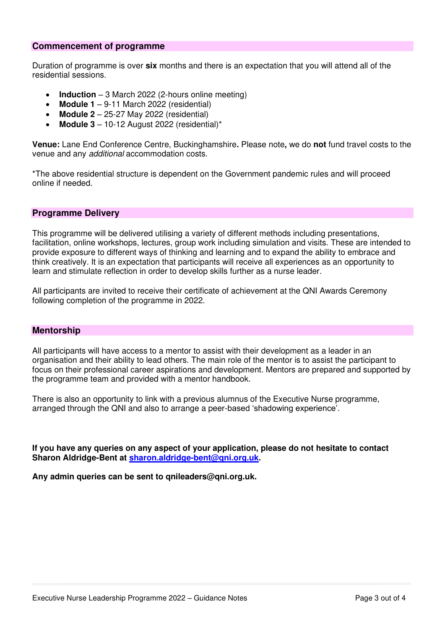### **Commencement of programme**

Duration of programme is over **six** months and there is an expectation that you will attend all of the residential sessions.

- **Induction**  3 March 2022 (2-hours online meeting)
- **Module 1**  9-11 March 2022 (residential)
- **Module 2**  25-27 May 2022 (residential)
- **Module 3**  10-12 August 2022 (residential)\*

**Venue:** Lane End Conference Centre, Buckinghamshire**.** Please note**,** we do **not** fund travel costs to the venue and any additional accommodation costs.

\*The above residential structure is dependent on the Government pandemic rules and will proceed online if needed.

### **Programme Delivery**

This programme will be delivered utilising a variety of different methods including presentations, facilitation, online workshops, lectures, group work including simulation and visits. These are intended to provide exposure to different ways of thinking and learning and to expand the ability to embrace and think creatively. It is an expectation that participants will receive all experiences as an opportunity to learn and stimulate reflection in order to develop skills further as a nurse leader.

All participants are invited to receive their certificate of achievement at the QNI Awards Ceremony following completion of the programme in 2022.

#### **Mentorship**

All participants will have access to a mentor to assist with their development as a leader in an organisation and their ability to lead others. The main role of the mentor is to assist the participant to focus on their professional career aspirations and development. Mentors are prepared and supported by the programme team and provided with a mentor handbook.

There is also an opportunity to link with a previous alumnus of the Executive Nurse programme, arranged through the QNI and also to arrange a peer-based 'shadowing experience'.

**If you have any queries on any aspect of your application, please do not hesitate to contact Sharon Aldridge-Bent at [sharon.aldridge-bent@qni.org.uk.](mailto:sharon.aldridge-bent@qni.org.uk)**

**Any admin queries can be sent to qnileaders@qni.org.uk.**